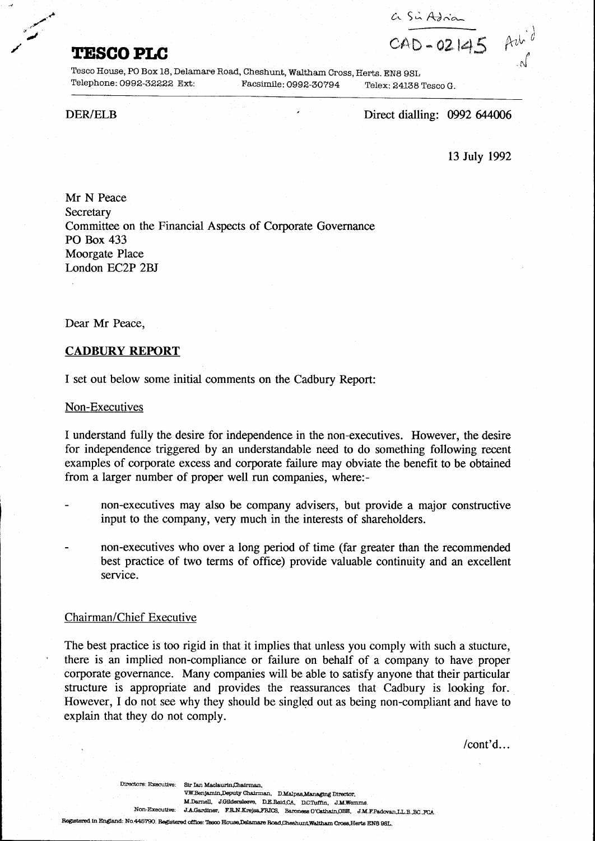**TESCOPLC** CAD-02145 Ach

Tesca House, PO Box 18, Delamare Road, Cheshunt, Waltham Cross, Herts. EN8 9SL Telephone: 0992-32222 Ext: Facsimile: 0992-30794 Telex: 24138 Tesca G.

,,""-

~.-'

.~

DER/ELB Direct dialling: 0992 644006

13 July 1992

Mr N Peace **Secretary** Committee on the Financial Aspects of Corporate Governance PO Box 433 Moorgate Place London EC2P 2BJ

Dear Mr Peace,

# **CADBURY REPORT**

I set out below some initial comments on the Cadbury Report:

#### Non-Executives

I understand fully the desire for independence in the non-executives. However, the desire for independence triggered by an understandable need to do something following recent examples of corporate excess and corporate failure may obviate the benefit to be obtained from a larger number of proper well run companies, where:-

- non-executives may also be company advisers, but provide a major constructive input to the company, very much in the interests of shareholders.
- non-executives who over a long period of time (far greater than the recommended best practice of two terms of office) provide valuable continuity and an excellent service.

### Chairman/Chief Executive

The best practice is too rigid in that it implies that unless you comply with such a stucture, there is an implied non-compliance or failure on behalf of a company to have proper corporate governance. Many companies will be able to satisfy anyone that their particular structure is appropriate and provides the reassurances that Cadbury is looking for. However, I do not see why they should be singled out as being non-compliant and have to explain that they do not comply.

 $/$ cont'd...

Directors: Executive: Sir Ian Maclaurin,Chairman. V.W.Benjamin.Deputy Chairman. D.Malpas.Managing Director. M.Darnell. J.Gildersleeve. D.E.Reid.CA. D.C.Tuffin. J.M.Wemms. Non-Executive: J.A.Gardiner. F.R.N.Krejsa.FRICS. Baroness O'Cathain, OBE. J.M.F.Padovan, LL.B. BC., FCA. Registered in England: No.445790. Registered office: Tesco House,Delamare Road.Cheshunt,Waltham Cross.Herts EN8 98L.